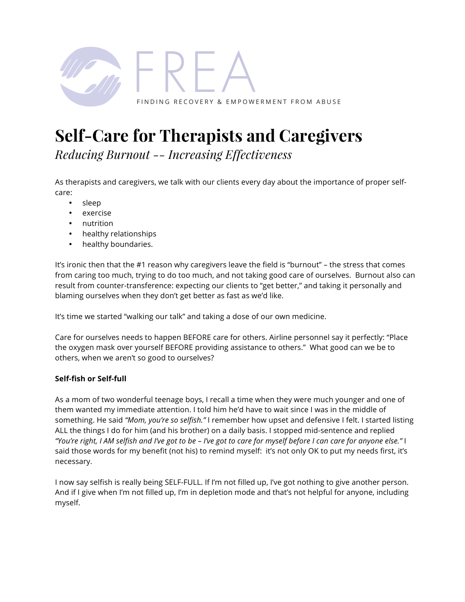

# **Self-Care for Therapists and Caregivers**

*Reducing Burnout -- Increasing Effectiveness*

As therapists and caregivers, we talk with our clients every day about the importance of proper selfcare:

- sleep
- exercise
- nutrition
- healthy relationships
- healthy boundaries.

It's ironic then that the #1 reason why caregivers leave the field is "burnout" – the stress that comes from caring too much, trying to do too much, and not taking good care of ourselves. Burnout also can result from counter-transference: expecting our clients to "get better," and taking it personally and blaming ourselves when they don't get better as fast as we'd like.

It's time we started "walking our talk" and taking a dose of our own medicine.

Care for ourselves needs to happen BEFORE care for others. Airline personnel say it perfectly: "Place the oxygen mask over yourself BEFORE providing assistance to others." What good can we be to others, when we aren't so good to ourselves?

# **Self-fish or Self-full**

As a mom of two wonderful teenage boys, I recall a time when they were much younger and one of them wanted my immediate attention. I told him he'd have to wait since I was in the middle of something. He said *"Mom, you're so selfish."* I remember how upset and defensive I felt. I started listing ALL the things I do for him (and his brother) on a daily basis. I stopped mid-sentence and replied *"You're right, I AM selfish and I've got to be – I've got to care for myself before I can care for anyone else."* I said those words for my benefit (not his) to remind myself: it's not only OK to put my needs first, it's necessary.

I now say selfish is really being SELF-FULL. If I'm not filled up, I've got nothing to give another person. And if I give when I'm not filled up, I'm in depletion mode and that's not helpful for anyone, including myself.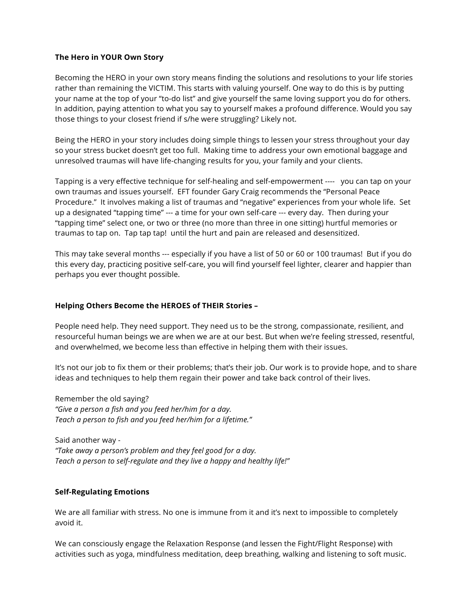#### **The Hero in YOUR Own Story**

Becoming the HERO in your own story means finding the solutions and resolutions to your life stories rather than remaining the VICTIM. This starts with valuing yourself. One way to do this is by putting your name at the top of your "to-do list" and give yourself the same loving support you do for others. In addition, paying attention to what you say to yourself makes a profound difference. Would you say those things to your closest friend if s/he were struggling? Likely not.

Being the HERO in your story includes doing simple things to lessen your stress throughout your day so your stress bucket doesn't get too full. Making time to address your own emotional baggage and unresolved traumas will have life-changing results for you, your family and your clients.

Tapping is a very effective technique for self-healing and self-empowerment ---- you can tap on your own traumas and issues yourself. EFT founder Gary Craig recommends the "Personal Peace Procedure." It involves making a list of traumas and "negative" experiences from your whole life. Set up a designated "tapping time" --- a time for your own self-care --- every day. Then during your "tapping time" select one, or two or three (no more than three in one sitting) hurtful memories or traumas to tap on. Tap tap tap! until the hurt and pain are released and desensitized.

This may take several months --- especially if you have a list of 50 or 60 or 100 traumas! But if you do this every day, practicing positive self-care, you will find yourself feel lighter, clearer and happier than perhaps you ever thought possible.

### **Helping Others Become the HEROES of THEIR Stories –**

People need help. They need support. They need us to be the strong, compassionate, resilient, and resourceful human beings we are when we are at our best. But when we're feeling stressed, resentful, and overwhelmed, we become less than effective in helping them with their issues.

It's not our job to fix them or their problems; that's their job. Our work is to provide hope, and to share ideas and techniques to help them regain their power and take back control of their lives.

Remember the old saying? *"Give a person a fish and you feed her/him for a day. Teach a person to fish and you feed her/him for a lifetime."*

Said another way - *"Take away a person's problem and they feel good for a day. Teach a person to self-regulate and they live a happy and healthy life!"*

#### **Self-Regulating Emotions**

We are all familiar with stress. No one is immune from it and it's next to impossible to completely avoid it.

We can consciously engage the Relaxation Response (and lessen the Fight/Flight Response) with activities such as yoga, mindfulness meditation, deep breathing, walking and listening to soft music.